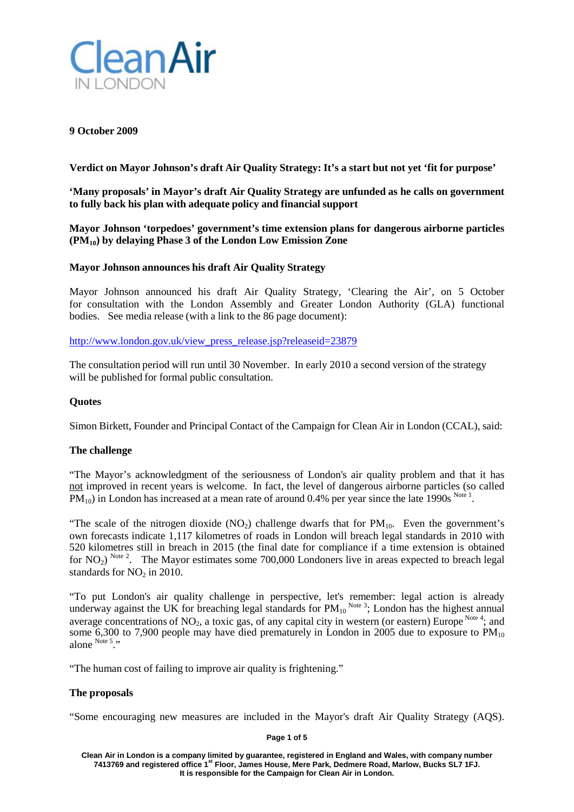

### **9 October 2009**

**Verdict on Mayor Johnson's draft Air Quality Strategy: It's a start but not yet 'fit for purpose'**

**'Many proposals' in Mayor's draft Air Quality Strategy are unfunded as he calls on government to fully back his plan with adequate policy and financial support**

**Mayor Johnson 'torpedoes' government's time extension plans for dangerous airborne particles (PM10) by delaying Phase 3 of the London Low Emission Zone**

## **Mayor Johnson announces his draft Air Quality Strategy**

Mayor Johnson announced his draft Air Quality Strategy, 'Clearing the Air', on 5 October for consultation with the London Assembly and Greater London Authority (GLA) functional bodies. See media release (with a link to the 86 page document):

[http://www.london.gov.uk/view\\_press\\_release.jsp?releaseid=23879](http://www.london.gov.uk/view_press_release.jsp?releaseid=23879)

The consultation period will run until 30 November. In early 2010 a second version of the strategy will be published for formal public consultation.

### **Quotes**

Simon Birkett, Founder and Principal Contact of the Campaign for Clean Air in London (CCAL), said:

## **The challenge**

"The Mayor's acknowledgment of the seriousness of London's air quality problem and that it has not improved in recent years is welcome. In fact, the level of dangerous airborne particles (so called  $PM_{10}$ ) in London has increased at a mean rate of around 0.4% per year since the late 1990s  $^{Note 1}$ .

"The scale of the nitrogen dioxide  $(NO_2)$  challenge dwarfs that for  $PM_{10}$ . Even the government's own forecasts indicate 1,117 kilometres of roads in London will breach legal standards in 2010 with 520 kilometres still in breach in 2015 (the final date for compliance if a time extension is obtained for NO<sub>2</sub>)<sup>Note 2</sup>. The Mayor estimates some 700,000 Londoners live in areas expected to breach legal standards for  $NO<sub>2</sub>$  in 2010.

"To put London's air quality challenge in perspective, let's remember: legal action is already underway against the UK for breaching legal standards for  $PM_{10}^{Note 3}$ ; London has the highest annual average concentrations of  $NO_2$ , a toxic gas, of any capital city in western (or eastern) Europe  $N^{Ote}$ <sup>4</sup>; and some 6,300 to 7,900 people may have died prematurely in London in 2005 due to exposure to  $PM_{10}$ alone Note 5 ...

"The human cost of failing to improve air quality is frightening."

## **The proposals**

"Some encouraging new measures are included in the Mayor's draft Air Quality Strategy (AQS).

**Page 1 of 5**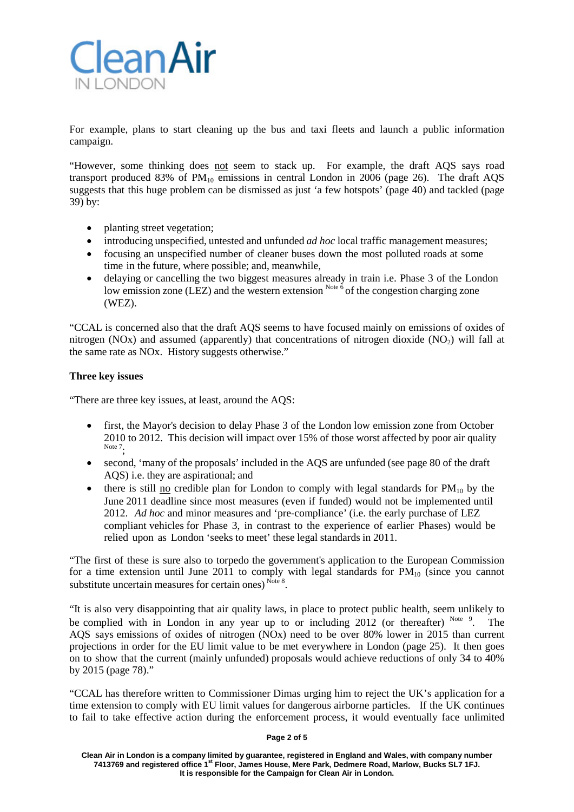

For example, plans to start cleaning up the bus and taxi fleets and launch a public information campaign.

"However, some thinking does not seem to stack up. For example, the draft AQS says road transport produced 83% of  $PM_{10}$  emissions in central London in 2006 (page 26). The draft AQS suggests that this huge problem can be dismissed as just 'a few hotspots' (page 40) and tackled (page 39) by:

- planting street vegetation;
- introducing unspecified, untested and unfunded *ad hoc* local traffic management measures;
- focusing an unspecified number of cleaner buses down the most polluted roads at some time in the future, where possible; and, meanwhile,
- delaying or cancelling the two biggest measures already in train i.e. Phase 3 of the London low emission zone (LEZ) and the western extension  $N^{ote}$   $\delta$  of the congestion charging zone (WEZ).

"CCAL is concerned also that the draft AQS seems to have focused mainly on emissions of oxides of nitrogen (NOx) and assumed (apparently) that concentrations of nitrogen dioxide (NO<sub>2</sub>) will fall at the same rate as NOx. History suggests otherwise."

## **Three key issues**

"There are three key issues, at least, around the AQS:

- first, the Mayor's decision to delay Phase 3 of the London low emission zone from October 2010 to 2012. This decision will impact over 15% of those worst affected by poor air quality Note 7.
- second, 'many of the proposals' included in the AQS are unfunded (see page 80 of the draft AQS) i.e. they are aspirational; and
- there is still no credible plan for London to comply with legal standards for  $PM_{10}$  by the June 2011 deadline since most measures (even if funded) would not be implemented until 2012. *Ad hoc* and minor measures and 'pre-compliance' (i.e. the early purchase of LEZ compliant vehicles for Phase 3, in contrast to the experience of earlier Phases) would be relied upon as London 'seeks to meet' these legal standards in 2011.

"The first of these is sure also to torpedo the government's application to the European Commission for a time extension until June 2011 to comply with legal standards for  $PM_{10}$  (since you cannot substitute uncertain measures for certain ones)  $^{Note 8}$ .

"It is also very disappointing that air quality laws, in place to protect public health, seem unlikely to be complied with in London in any year up to or including 2012 (or thereafter)  $N_{\text{ode}}$   $\theta$ . . The AQS says emissions of oxides of nitrogen (NOx) need to be over 80% lower in 2015 than current projections in order for the EU limit value to be met everywhere in London (page 25). It then goes on to show that the current (mainly unfunded) proposals would achieve reductions of only 34 to 40% by 2015 (page 78)."

"CCAL has therefore written to Commissioner Dimas urging him to reject the UK's application for a time extension to comply with EU limit values for dangerous airborne particles. If the UK continues to fail to take effective action during the enforcement process, it would eventually face unlimited

#### **Page 2 of 5**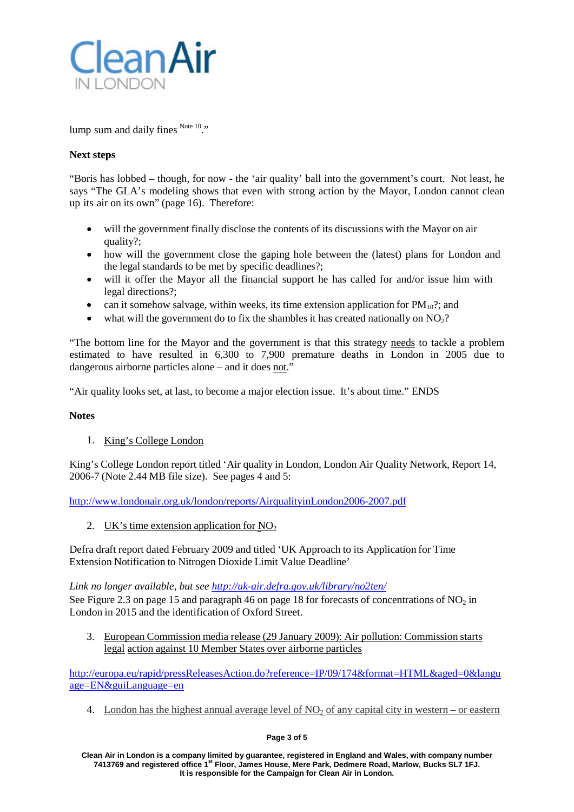

lump sum and daily fines Note 10."

# **Next steps**

"Boris has lobbed – though, for now - the 'air quality' ball into the government's court. Not least, he says "The GLA's modeling shows that even with strong action by the Mayor, London cannot clean up its air on its own" (page 16). Therefore:

- will the government finally disclose the contents of its discussions with the Mayor on air quality?;
- how will the government close the gaping hole between the (latest) plans for London and the legal standards to be met by specific deadlines?;
- will it offer the Mayor all the financial support he has called for and/or issue him with legal directions?;
- can it somehow salvage, within weeks, its time extension application for  $PM_{10}$ ?; and
- what will the government do to fix the shambles it has created nationally on  $NO<sub>2</sub>$ ?

"The bottom line for the Mayor and the government is that this strategy needs to tackle a problem estimated to have resulted in 6,300 to 7,900 premature deaths in London in 2005 due to dangerous airborne particles alone – and it does not.'

"Air quality looks set, at last, to become a major election issue. It's about time." ENDS

## **Notes**

1. King's College London

King's College London report titled 'Air quality in London, London Air Quality Network, Report 14, 2006-7 (Note 2.44 MB file size). See pages 4 and 5:

<http://www.londonair.org.uk/london/reports/AirqualityinLondon2006-2007.pdf>

2. UK's time extension application for  $NO<sub>2</sub>$ 

Defra draft report dated February 2009 and titled 'UK Approach to its Application for Time Extension Notification to Nitrogen Dioxide Limit Value Deadline'

*Link no longer available, but see<http://uk-air.defra.gov.uk/library/no2ten/>* See Figure 2.3 on page 15 and paragraph 46 on page 18 for forecasts of concentrations of  $NO<sub>2</sub>$  in London in 2015 and the identification of Oxford Street.

3. European Commission media release (29 January 2009): Air pollution: Commission starts legal action against 10 Member States over airborne particles

[http://europa.eu/rapid/pressReleasesAction.do?reference=IP/09/174&format=HTML&aged=0&langu](http://europa.eu/rapid/pressReleasesAction.do?reference=IP/09/174&format=HTML&aged=0&langu%20age=EN&guiLanguage=en) [age=EN&guiLanguage=en](http://europa.eu/rapid/pressReleasesAction.do?reference=IP/09/174&format=HTML&aged=0&langu%20age=EN&guiLanguage=en)

4. London has the highest annual average level of  $NO<sub>2</sub>$  of any capital city in western – or eastern

## **Page 3 of 5**

**Clean Air in London is a company limited by guarantee, registered in England and Wales, with company number 7413769 and registered office 1st Floor, James House, Mere Park, Dedmere Road, Marlow, Bucks SL7 1FJ. It is responsible for the Campaign for Clean Air in London.**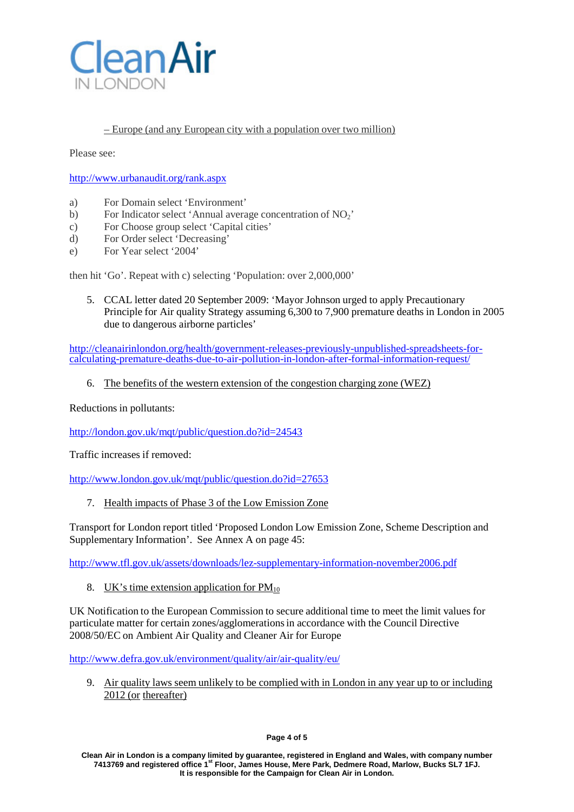

# – Europe (and any European city with a population over two million)

Please see:

<http://www.urbanaudit.org/rank.aspx>

- a) For Domain select 'Environment'
- b) For Indicator select 'Annual average concentration of NO<sub>2</sub>'
- c) For Choose group select 'Capital cities'
- d) For Order select 'Decreasing'
- e) For Year select '2004'

then hit 'Go'. Repeat with c) selecting 'Population: over 2,000,000'

5. CCAL letter dated 20 September 2009: 'Mayor Johnson urged to apply Precautionary Principle for Air quality Strategy assuming 6,300 to 7,900 premature deaths in London in 2005 due to dangerous airborne particles'

[http://cleanairinlondon.org/health/government-releases-previously-unpublished-spreadsheets-for-](http://cleanairinlondon.org/health/government-releases-previously-unpublished-spreadsheets-for-calculating-premature-deaths-due-to-air-pollution-in-london-after-formal-information-request/) [calculating-premature-deaths-due-to-air-pollution-in-london-after-formal-information-request/](http://cleanairinlondon.org/health/government-releases-previously-unpublished-spreadsheets-for-calculating-premature-deaths-due-to-air-pollution-in-london-after-formal-information-request/)

6. The benefits of the western extension of the congestion charging zone (WEZ)

Reductions in pollutants:

<http://london.gov.uk/mqt/public/question.do?id=24543>

Traffic increases if removed:

<http://www.london.gov.uk/mqt/public/question.do?id=27653>

7. Health impacts of Phase 3 of the Low Emission Zone

Transport for London report titled 'Proposed London Low Emission Zone, Scheme Description and Supplementary Information'. See Annex A on page 45:

<http://www.tfl.gov.uk/assets/downloads/lez-supplementary-information-november2006.pdf>

8. UK's time extension application for  $PM_{10}$ 

UK Notification to the European Commission to secure additional time to meet the limit values for particulate matter for certain zones/agglomerationsin accordance with the Council Directive 2008/50/EC on Ambient Air Quality and Cleaner Air for Europe

<http://www.defra.gov.uk/environment/quality/air/air-quality/eu/>

9. Air quality laws seem unlikely to be complied with in London in any year up to or including 2012 (or thereafter)

**Clean Air in London is a company limited by guarantee, registered in England and Wales, with company number 7413769 and registered office 1st Floor, James House, Mere Park, Dedmere Road, Marlow, Bucks SL7 1FJ. It is responsible for the Campaign for Clean Air in London.**